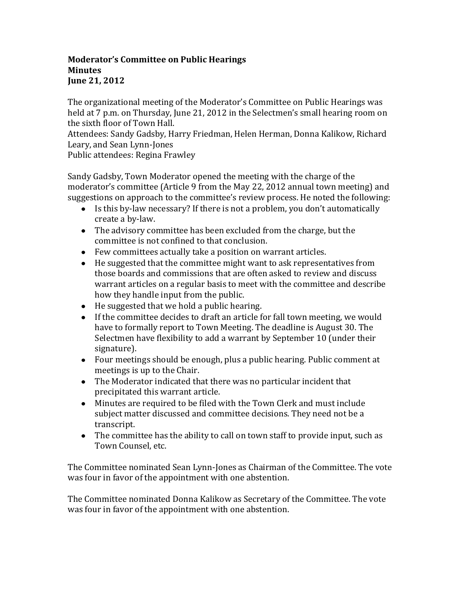## **Moderator's Committee on Public Hearings Minutes June 21, 2012**

The organizational meeting of the Moderator's Committee on Public Hearings was held at 7 p.m. on Thursday, June 21, 2012 in the Selectmen's small hearing room on the sixth floor of Town Hall.

Attendees: Sandy Gadsby, Harry Friedman, Helen Herman, Donna Kalikow, Richard Leary, and Sean Lynn-Jones

Public attendees: Regina Frawley

Sandy Gadsby, Town Moderator opened the meeting with the charge of the moderator's committee (Article 9 from the May 22, 2012 annual town meeting) and suggestions on approach to the committee's review process. He noted the following:

- Is this by-law necessary? If there is not a problem, you don't automatically create a by-law.
- The advisory committee has been excluded from the charge, but the committee is not confined to that conclusion.
- Few committees actually take a position on warrant articles.
- He suggested that the committee might want to ask representatives from those boards and commissions that are often asked to review and discuss warrant articles on a regular basis to meet with the committee and describe how they handle input from the public.
- He suggested that we hold a public hearing.
- If the committee decides to draft an article for fall town meeting, we would have to formally report to Town Meeting. The deadline is August 30. The Selectmen have flexibility to add a warrant by September 10 (under their signature).
- Four meetings should be enough, plus a public hearing. Public comment at meetings is up to the Chair.
- The Moderator indicated that there was no particular incident that precipitated this warrant article.
- Minutes are required to be filed with the Town Clerk and must include subject matter discussed and committee decisions. They need not be a transcript.
- The committee has the ability to call on town staff to provide input, such as Town Counsel, etc.

The Committee nominated Sean Lynn-Jones as Chairman of the Committee. The vote was four in favor of the appointment with one abstention.

The Committee nominated Donna Kalikow as Secretary of the Committee. The vote was four in favor of the appointment with one abstention.